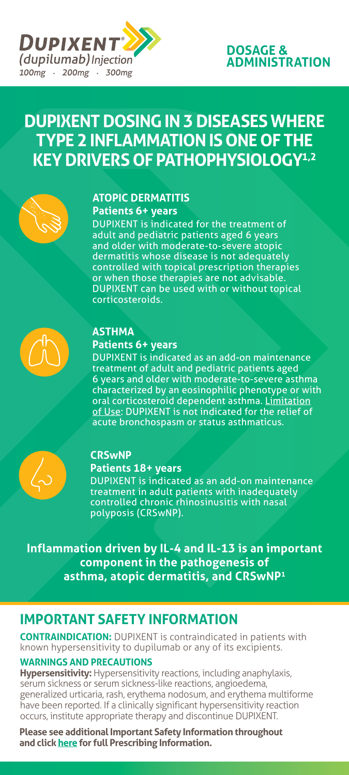

## **DOSAGE & ADMINISTRATION**

# **DUPIXENT DOSING IN 3 DISEASES WHERE TYPE 2 INFLAMMATION IS ONE OF THE KEY DRIVERS OF PATHOPHYSIOLOGY1,2**



## **ATOPIC DERMATITIS Patients 6+ years**

DUPIXENT is indicated for the treatment of adult and pediatric patients aged 6 years and older with moderate-to-severe atopic dermatitis whose disease is not adequately controlled with topical prescription therapies or when those therapies are not advisable. DUPIXENT can be used with or without topical corticosteroids.



## **ASTHMA**

## **Patients 6+ years**

DUPIXENT is indicated as an add-on maintenance treatment of adult and pediatric patients aged 6 years and older with moderate-to-severe asthma characterized by an eosinophilic phenotype or with oral corticosteroid dependent asthma. Limitation of Use: DUPIXENT is not indicated for the relief of acute bronchospasm or status asthmaticus.



## **CRSwNP**

#### **Patients 18+ years**

DUPIXENT is indicated as an add-on maintenance treatment in adult patients with inadequately controlled chronic rhinosinusitis with nasal polyposis (CRSwNP).

**Inflammation driven by IL-4 and IL-13 is an important component in the pathogenesis of asthma, atopic dermatitis, and CRSwNP1**

## **IMPORTANT SAFETY INFORMATION**

**CONTRAINDICATION:** DUPIXENT is contraindicated in patients with known hypersensitivity to dupilumab or any of its excipients.

#### **WARNINGS AND PRECAUTIONS**

**Hypersensitivity:** Hypersensitivity reactions, including anaphylaxis, serum sickness or serum sickness-like reactions, angioedema, generalized urticaria, rash, erythema nodosum, and erythema multiforme have been reported. If a clinically significant hypersensitivity reaction occurs, institute appropriate therapy and discontinue DUPIXENT.

**Please see additional Important Safety Information throughout and click [here f](https://www.regeneron.com/downloads/dupixent_fpi.pdf)or full Prescribing Information.**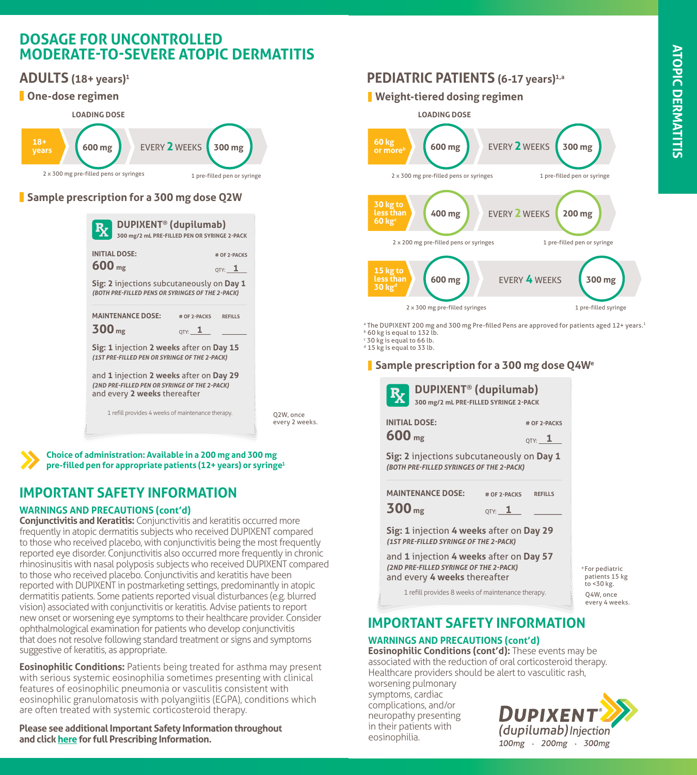# **ATOPIC DERMATITISATOPIC DERMATITIS**

## **DOSAGE FOR UNCONTROLLED MODERATE-TO-SEVERE ATOPIC DERMATITIS**

 $2 \times 200$  mg pre-filled pens or syringes 1 pre-filled pens or syringes 1 pre-filled pen or syringes 1 pre-filled pen or syringes 1

## **ADULTS** (18+ years)<sup>1</sup>

## **One-dose regimen**



## **Sample prescription for a 300 mg dose Q2W**

| $R_X$                                     | DUPIXENT <sup>®</sup> (dupilumab)<br>300 mg/2 mL PRE-FILLED PEN OR SYRINGE 2-PACK                                                                                         |                                    |                                                     |
|-------------------------------------------|---------------------------------------------------------------------------------------------------------------------------------------------------------------------------|------------------------------------|-----------------------------------------------------|
| <b>INITIAL DOSE:</b><br>600 <sub>mg</sub> | <b>Sig: 2</b> injections subcutaneously on <b>Day 1</b><br>(BOTH PRE-FILLED PENS OR SYRINGES OF THE 2-PACK)                                                               |                                    | # OF 2-PACKS<br>$_{\mathsf{QTV:}}$ $\_$ $\mathbf 1$ |
| 300 <sub>mg</sub>                         | <b>MAINTENANCE DOSE:</b><br>Sig: 1 injection 2 weeks after on Day 15                                                                                                      | # OF 2-PACKS<br>$_{\text{QTV:}}$ 1 | <b>REFILLS</b>                                      |
|                                           | (1ST PRE-FILLED PEN OR SYRINGE OF THE 2-PACK)<br>and 1 injection 2 weeks after on Day 29<br>(2ND PRE-FILLED PEN OR SYRINGE OF THE 2-PACK)<br>and every 2 weeks thereafter |                                    |                                                     |
|                                           | 1 refill provides 4 weeks of maintenance therapy.                                                                                                                         |                                    |                                                     |

Q2W, once every 2 weeks.

**Choice of administration: Available in a 200 mg and 300 mg pre-filled pen for appropriate patients (12+ years) or syringe1**

## **IMPORTANT SAFETY INFORMATION**

#### **WARNINGS AND PRECAUTIONS (cont'd)**

**Conjunctivitis and Keratitis:** Conjunctivitis and keratitis occurred more frequently in atopic dermatitis subjects who received DUPIXENT compared to those who received placebo, with conjunctivitis being the most frequently reported eye disorder. Conjunctivitis also occurred more frequently in chronic rhinosinusitis with nasal polyposis subjects who received DUPIXENT compared to those who received placebo. Conjunctivitis and keratitis have been reported with DUPIXENT in postmarketing settings, predominantly in atopic dermatitis patients. Some patients reported visual disturbances (e.g. blurred vision) associated with conjunctivitis or keratitis. Advise patients to report new onset or worsening eye symptoms to their healthcare provider. Consider ophthalmological examination for patients who develop conjunctivitis that does not resolve following standard treatment or signs and symptoms suggestive of keratitis, as appropriate.

**Eosinophilic Conditions:** Patients being treated for asthma may present with serious systemic eosinophilia sometimes presenting with clinical features of eosinophilic pneumonia or vasculitis consistent with eosinophilic granulomatosis with polyangiitis (EGPA), conditions which are often treated with systemic corticosteroid therapy.

**Please see additional Important Safety Information throughout and click [here f](https://www.regeneron.com/downloads/dupixent_fpi.pdf)or full Prescribing Information.**

## **PEDIATRIC PATIENTS (6-17 years)1,a**

# **Weight-tiered dosing regimen**



° The DUPIXENT 200 mg and 300 mg Pre-filled Pens are approved for patients aged 12+ years.<sup>1</sup> **b** 60 kg is equal to 132 lb.

c 30 kg is equal to 66 lb.

<sup>d</sup> 15 kg is equal to 33 lb.

#### **18 years 300 mg Sample prescription for a 300 mg dose Q4W<sup>e</sup>**

| <b>DUPIXENT<sup>®</sup></b> (dupilumab)<br>$\mathbf{R}_{\mathbf{X}}$<br>300 mg/2 mL PRE-FILLED SYRINGE 2-PACK                                                      |                |  |
|--------------------------------------------------------------------------------------------------------------------------------------------------------------------|----------------|--|
| <b>INITIAL DOSE:</b>                                                                                                                                               | # OF 2-PACKS   |  |
| 600 <sub>mg</sub>                                                                                                                                                  | QTY: $\_\_1$   |  |
| Sig: 2 injections subcutaneously on Day 1<br>(BOTH PRE-FILLED SYRINGES OF THE 2-PACK)                                                                              |                |  |
| <b>MAINTENANCE DOSE:</b><br># OF 2-PACKS                                                                                                                           | <b>REFILLS</b> |  |
| 300 <sub>mg</sub><br>$_{\text{OTY:}}$ 1                                                                                                                            |                |  |
| Sig: 1 injection 4 weeks after on Day 29<br>(1ST PRE-FILLED SYRINGE OF THE 2-PACK)                                                                                 |                |  |
| and 1 injection 4 weeks after on Day 57<br>(2ND PRE-FILLED SYRINGE OF THE 2-PACK)<br><sup>e</sup> For pedi<br>and every 4 weeks thereafter<br>patients<br>to <30 k |                |  |

1 refill provides 8 weeks of maintenance therapy.  $\begin{array}{c} \blacksquare \quad \text{O4W} \end{array}$ Q4W, once every 4 weeks. e For pediatric patients 15 kg to <30 kg.

## **IMPORTANT SAFETY INFORMATION**

## **WARNINGS AND PRECAUTIONS (cont'd)**

**Eosinophilic Conditions (cont'd):** These events may be associated with the reduction of oral corticosteroid therapy. Healthcare providers should be alert to vasculitic rash,

worsening pulmonary symptoms, cardiac complications, and/or neuropathy presenting in their patients with eosinophilia.

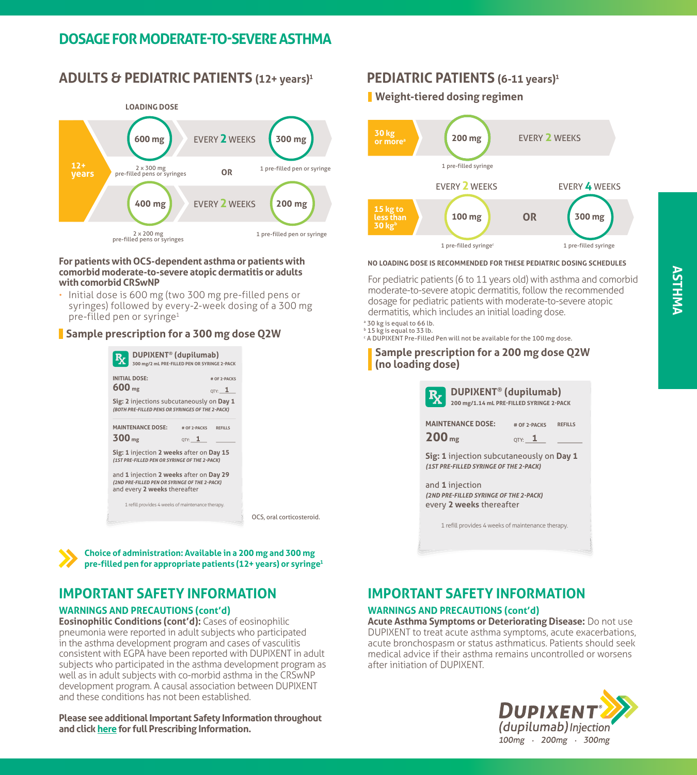## **DOSAGE FOR MODERATE-TO-SEVERE ASTHMA**

## **ADULTS & PEDIATRIC PATIENTS (12+ years)1**



#### **For patients with OCS-dependent asthma or patients with comorbid moderate-to-severe atopic dermatitis or adults with comorbid CRSwNP**

• Initial dose is 600 mg (two 300 mg pre-filled pens or syringes) followed by every-2-week dosing of a 300 mg pre-filled pen or syringe<sup>1</sup>

#### **Sample prescription for a 300 mg dose Q2W**





## **IMPORTANT SAFETY INFORMATION**

#### **WARNINGS AND PRECAUTIONS (cont'd)**

**Eosinophilic Conditions (cont'd):** Cases of eosinophilic pneumonia were reported in adult subjects who participated in the asthma development program and cases of vasculitis consistent with EGPA have been reported with DUPIXENT in adult subjects who participated in the asthma development program as well as in adult subjects with co-morbid asthma in the CRSwNP development program. A causal association between DUPIXENT and these conditions has not been established.

#### **Please see additional Important Safety Information throughout and click [here f](https://www.regeneron.com/downloads/dupixent_fpi.pdf)or full Prescribing Information.**

## **PEDIATRIC PATIENTS (6-11 years)1**

#### **Weight-tiered dosing regimen**



#### **NO LOADING DOSE IS RECOMMENDED FOR THESE PEDIATRIC DOSING SCHEDULES**

For pediatric patients (6 to 11 years old) with asthma and comorbid moderate-to-severe atopic dermatitis, follow the recommended dosage for pediatric patients with moderate-to-severe atopic dermatitis, which includes an initial loading dose.

- <sup>a</sup> 30 kg is equal to 66 lb. **b** 15 kg is equal to 33 lb.
- c A DUPIXENT Pre-Filled Pen will not be available for the 100 mg dose.

**Sample prescription for a 200 mg dose Q2W (no loading dose)**

|                                                                                       | <b>DUPIXENT<sup>®</sup></b> (dupilumab)<br>200 mg/1.14 mL PRE-FILLED SYRINGE 2-PACK |  |  |  |  |
|---------------------------------------------------------------------------------------|-------------------------------------------------------------------------------------|--|--|--|--|
| <b>MAINTENANCE DOSE:</b><br>200 <sub>mg</sub>                                         | # OF 2-PACKS<br><b>REFILLS</b><br>$_{\text{QTY:}}$ 1                                |  |  |  |  |
| Sig: 1 injection subcutaneously on Day 1<br>(1ST PRE-FILLED SYRINGE OF THE 2-PACK)    |                                                                                     |  |  |  |  |
| and 1 injection<br>(2ND PRE-FILLED SYRINGE OF THE 2-PACK)<br>every 2 weeks thereafter |                                                                                     |  |  |  |  |
|                                                                                       | 1 refill provides 4 weeks of maintenance therapy.                                   |  |  |  |  |
|                                                                                       |                                                                                     |  |  |  |  |

## **IMPORTANT SAFETY INFORMATION**

#### **WARNINGS AND PRECAUTIONS (cont'd)**

**Acute Asthma Symptoms or Deteriorating Disease:** Do not use DUPIXENT to treat acute asthma symptoms, acute exacerbations, acute bronchospasm or status asthmaticus. Patients should seek medical advice if their asthma remains uncontrolled or worsens after initiation of DUPIXENT.

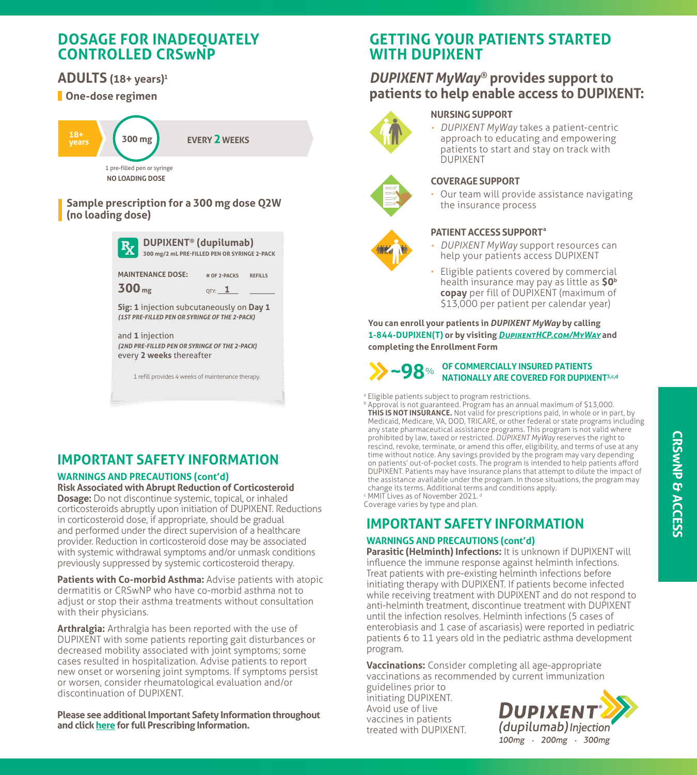## **DOSAGE FOR INADEQUATELY CONTROLLED CRSwNP**

## **ADULTS (18+ years) 1**

## **One-dose regimen**



#### **Sample prescription for a 300 mg dose Q2W (no loading dose)**

| DUPIXENT <sup>®</sup> (dupilumab)<br>$R_{\rm Z}$<br>300 mg/2 mL PRE-FILLED PEN OR SYRINGE 2-PACK |                                                      |  |  |  |  |
|--------------------------------------------------------------------------------------------------|------------------------------------------------------|--|--|--|--|
| <b>MAINTENANCE DOSE:</b><br>300 <sub>mg</sub>                                                    | # OF 2-PACKS<br><b>REFILLS</b><br>$_{\text{OTY:}}$ 1 |  |  |  |  |
| Sig: 1 injection subcutaneously on Day 1<br>(1ST PRE-FILLED PEN OR SYRINGE OF THE 2-PACK)        |                                                      |  |  |  |  |
| and 1 injection<br>(2ND PRE-FILLED PEN OR SYRINGE OF THE 2-PACK)<br>every 2 weeks thereafter     |                                                      |  |  |  |  |
| 1 refill provides 4 weeks of maintenance therapy.                                                |                                                      |  |  |  |  |

## **IMPORTANT SAFETY INFORMATION**

#### **WARNINGS AND PRECAUTIONS (cont'd) Risk Associated with Abrupt Reduction of Corticosteroid**

**Dosage:** Do not discontinue systemic, topical, or inhaled corticosteroids abruptly upon initiation of DUPIXENT. Reductions in corticosteroid dose, if appropriate, should be gradual and performed under the direct supervision of a healthcare provider. Reduction in corticosteroid dose may be associated with systemic withdrawal symptoms and/or unmask conditions previously suppressed by systemic corticosteroid therapy.

Patients with Co-morbid Asthma: Advise patients with atopic dermatitis or CRSwNP who have co-morbid asthma not to adjust or stop their asthma treatments without consultation with their physicians.

**Arthralgia:** Arthralgia has been reported with the use of DUPIXENT with some patients reporting gait disturbances or decreased mobility associated with joint symptoms; some cases resulted in hospitalization. Advise patients to report new onset or worsening joint symptoms. If symptoms persist or worsen, consider rheumatological evaluation and/or discontinuation of DUPIXENT.

**Please see additional Important Safety Information throughout and click [here f](https://www.regeneron.com/downloads/dupixent_fpi.pdf)or full Prescribing Information.**

# **GETTING YOUR PATIENTS STARTED WITH DUPIXENT**

# **DUPIXENT MyWay®** provides support to **DUPIXENT MyWay® ICONS patients to help enable access to DUPIXENT:**

#### **NURSING SUPPORT**



• *DUPIXENT MyWay* takes a patient-centric approach to educating and empowering<br>patients to start and stay on track with approach to educating and empowering DUPIXENT



#### **COVERAGE SUPPORT**

• Our team will provide assistance navigating<br>the insurance areceses the insurance process

#### **PATIENT ACCESS SUPPORT<sup>a</sup>**

- *DUPIXENT MyWay* support resources can **Bormanning Support resources**<br>help your patients access DUPIXENT
- **copay** per fill of DUPIXENT (maximum of<br>\$13,000 per patient per calendar year) \$13,000 per patient per calendar year) • Eligible patients covered by commercial health insurance may pay as little as **\$0b**

completing the Enrollment Form **0 1-844-DUPIXEN(T) or by visiting** *[DupixentHCP.com](https://www.dupixenthcp.com/asthma/support-resources/dupixent-myway)/MyWay* **and You can enroll your patients in** *DUPIXENT MyWay* **by calling** 

#### **OF COMMERCIALLY INSURED PATIENTS NATIONALLY ARE COVERED FOR DUPIXENT3,c,d ~98**%

- <sup>a</sup> Eligible patients subject to program restrictions.
- promoted by tan, takes or restricted bord and may reserve the right to rescind, revoke, terminate, or amend this offer, eligibility, and terms of use at any **b Approval is not guaranteed. Program has an annual maximum of \$13,000. THIS IS NOT INSURANCE.** Not valid for prescriptions paid, in whole or in part, by Medicaid, Medicare, VA, DOD, TRICARE, or other federal or state programs including any state pharmaceutical assistance programs. This program is not valid where prohibited by law, taxed or restricted. *DUPIXENT MyWay* reserves the right to time without notice. Any savings provided by the program may vary depending on patients' out-of-pocket costs. The program is intended to help patients afford DUPIXENT. Patients may have insurance plans that attempt to dilute the impact of the assistance available under the program. In those situations, the program may change its terms. Additional terms and conditions apply. <sup>c</sup> MMIT Lives as of November 2021. d

Coverage varies by type and plan.

## **IMPORTANT SAFETY INFORMATION**

#### **WARNINGS AND PRECAUTIONS (cont'd)**

**Parasitic (Helminth) Infections:** It is unknown if DUPIXENT will influence the immune response against helminth infections. Treat patients with pre-existing helminth infections before initiating therapy with DUPIXENT. If patients become infected while receiving treatment with DUPIXENT and do not respond to anti-helminth treatment, discontinue treatment with DUPIXENT until the infection resolves. Helminth infections (5 cases of enterobiasis and 1 case of ascariasis) were reported in pediatric patients 6 to 11 years old in the pediatric asthma development program.

**Vaccinations:** Consider completing all age-appropriate vaccinations as recommended by current immunization

guidelines prior to initiating DUPIXENT. Avoid use of live vaccines in patients treated with DUPIXENT.

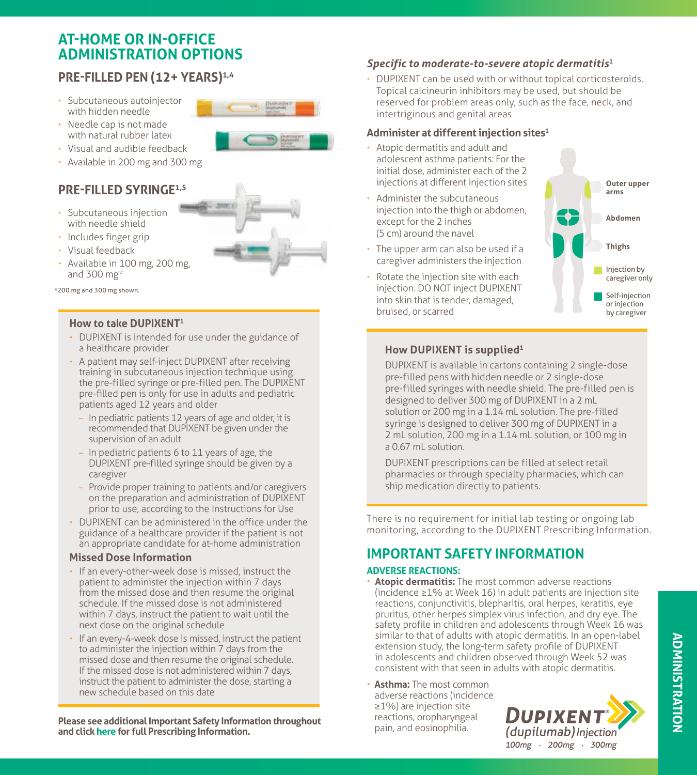## **AT-HOME OR IN-OFFICE ADMINISTRATION OPTIONS**

## **PRE-FILLED PEN (12+ YEARS)1,4**

- Subcutaneous autoinjector with hidden needle
- Needle cap is not made with natural rubber latex
- Visual and audible feedback
- Available in 200 mg and 300 mg

## **PRE-FILLED SYRINGE1,5**

- Subcutaneous injection with needle shield
- Includes finger grip
- Visual feedback
- Available in 100 mg, 200 mg, and 300 mg\*



#### **How to take DUPIXENT1**

- DUPIXENT is intended for use under the guidance of a healthcare provider
- A patient may self-inject DUPIXENT after receiving training in subcutaneous injection technique using the pre-filled syringe or pre-filled pen. The DUPIXENT pre-filled pen is only for use in adults and pediatric patients aged 12 years and older
	- In pediatric patients 12 years of age and older, it is recommended that DUPIXENT be given under the supervision of an adult
	- In pediatric patients 6 to 11 years of age, the DUPIXENT pre-filled syringe should be given by a caregiver
	- Provide proper training to patients and/or caregivers on the preparation and administration of DUPIXENT prior to use, according to the Instructions for Use
- DUPIXENT can be administered in the office under the guidance of a healthcare provider if the patient is not an appropriate candidate for at-home administration

#### **Missed Dose Information**

- If an every-other-week dose is missed, instruct the patient to administer the injection within 7 days from the missed dose and then resume the original schedule. If the missed dose is not administered within 7 days, instruct the patient to wait until the next dose on the original schedule
- If an every-4-week dose is missed, instruct the patient to administer the injection within 7 days from the missed dose and then resume the original schedule. If the missed dose is not administered within 7 days, instruct the patient to administer the dose, starting a new schedule based on this date

**Please see additional Important Safety Information throughout Conserver See additional Important Safety Information**<br>**Plane Strip Information Pain, and eosinophilia. and click [here f](https://www.regeneron.com/downloads/dupixent_fpi.pdf)or full Prescribing Information.**

## *Specific to moderate-to-severe atopic dermatitis***<sup>1</sup>**

• DUPIXENT can be used with or without topical corticosteroids. Topical calcineurin inhibitors may be used, but should be reserved for problem areas only, such as the face, neck, and intertriginous and genital areas

## **Administer at different injection sites1**

- Atopic dermatitis and adult and adolescent asthma patients: For the initial dose, administer each of the 2 injections at different injection sites
- Administer the subcutaneous injection into the thigh or abdomen, except for the 2 inches (5 cm) around the navel
- The upper arm can also be used if a caregiver administers the injection
- Rotate the injection site with each injection. DO NOT inject DUPIXENT into skin that is tender, damaged, bruised, or scarred



#### **How DUPIXENT is supplied1**

DUPIXENT is available in cartons containing 2 single-dose pre-filled pens with hidden needle or 2 single-dose pre-filled syringes with needle shield. The pre-filled pen is designed to deliver 300 mg of DUPIXENT in a 2 mL solution or 200 mg in a 1.14 mL solution. The pre-filled syringe is designed to deliver 300 mg of DUPIXENT in a 2 mL solution, 200 mg in a 1.14 mL solution, or 100 mg in a 0.67 mL solution.

DUPIXENT prescriptions can be filled at select retail pharmacies or through specialty pharmacies, which can ship medication directly to patients.

There is no requirement for initial lab testing or ongoing lab monitoring, according to the DUPIXENT Prescribing Information.

## **IMPORTANT SAFETY INFORMATION**

#### **ADVERSE REACTIONS:**

- **Atopic dermatitis:** The most common adverse reactions (incidence ≥1% at Week 16) in adult patients are injection site reactions, conjunctivitis, blepharitis, oral herpes, keratitis, eye pruritus, other herpes simplex virus infection, and dry eye. The safety profile in children and adolescents through Week 16 was similar to that of adults with atopic dermatitis. In an open-label extension study, the long-term safety profile of DUPIXENT in adolescents and children observed through Week 52 was consistent with that seen in adults with atopic dermatitis.
- **Asthma:** The most common adverse reactions (incidence ≥1%) are injection site reactions, oropharyngeal